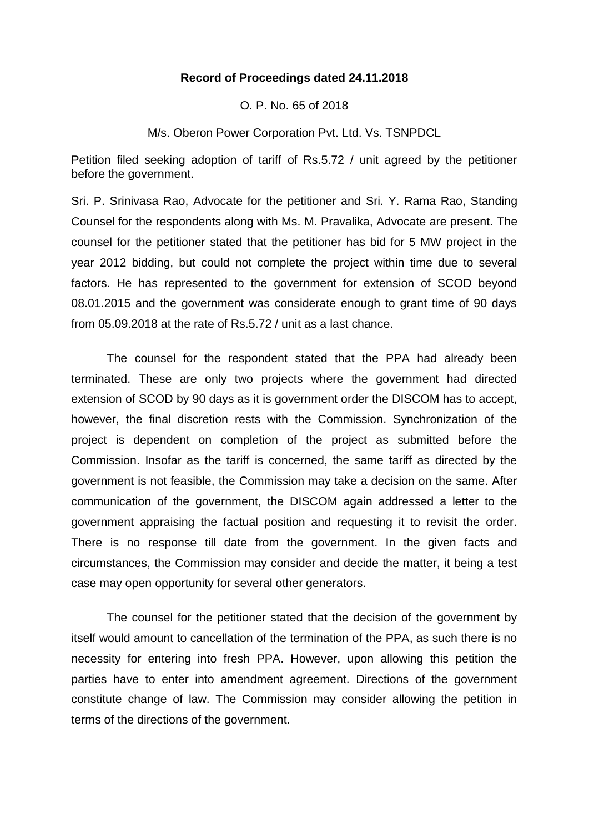## **Record of Proceedings dated 24.11.2018**

O. P. No. 65 of 2018

M/s. Oberon Power Corporation Pvt. Ltd. Vs. TSNPDCL

Petition filed seeking adoption of tariff of Rs.5.72 / unit agreed by the petitioner before the government.

Sri. P. Srinivasa Rao, Advocate for the petitioner and Sri. Y. Rama Rao, Standing Counsel for the respondents along with Ms. M. Pravalika, Advocate are present. The counsel for the petitioner stated that the petitioner has bid for 5 MW project in the year 2012 bidding, but could not complete the project within time due to several factors. He has represented to the government for extension of SCOD beyond 08.01.2015 and the government was considerate enough to grant time of 90 days from 05.09.2018 at the rate of Rs.5.72 / unit as a last chance.

The counsel for the respondent stated that the PPA had already been terminated. These are only two projects where the government had directed extension of SCOD by 90 days as it is government order the DISCOM has to accept, however, the final discretion rests with the Commission. Synchronization of the project is dependent on completion of the project as submitted before the Commission. Insofar as the tariff is concerned, the same tariff as directed by the government is not feasible, the Commission may take a decision on the same. After communication of the government, the DISCOM again addressed a letter to the government appraising the factual position and requesting it to revisit the order. There is no response till date from the government. In the given facts and circumstances, the Commission may consider and decide the matter, it being a test case may open opportunity for several other generators.

The counsel for the petitioner stated that the decision of the government by itself would amount to cancellation of the termination of the PPA, as such there is no necessity for entering into fresh PPA. However, upon allowing this petition the parties have to enter into amendment agreement. Directions of the government constitute change of law. The Commission may consider allowing the petition in terms of the directions of the government.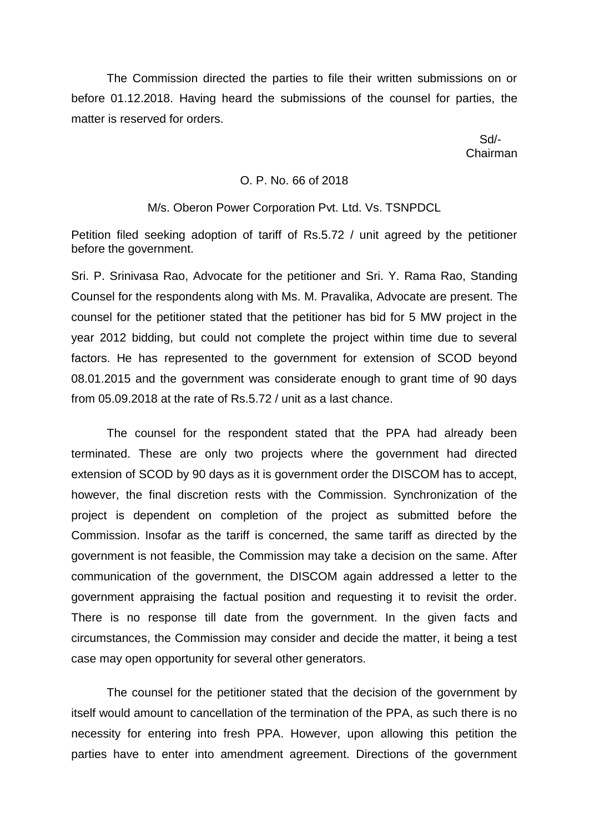The Commission directed the parties to file their written submissions on or before 01.12.2018. Having heard the submissions of the counsel for parties, the matter is reserved for orders.

 Sd/- Chairman

## O. P. No. 66 of 2018

#### M/s. Oberon Power Corporation Pvt. Ltd. Vs. TSNPDCL

Petition filed seeking adoption of tariff of Rs.5.72 / unit agreed by the petitioner before the government.

Sri. P. Srinivasa Rao, Advocate for the petitioner and Sri. Y. Rama Rao, Standing Counsel for the respondents along with Ms. M. Pravalika, Advocate are present. The counsel for the petitioner stated that the petitioner has bid for 5 MW project in the year 2012 bidding, but could not complete the project within time due to several factors. He has represented to the government for extension of SCOD beyond 08.01.2015 and the government was considerate enough to grant time of 90 days from 05.09.2018 at the rate of Rs.5.72 / unit as a last chance.

The counsel for the respondent stated that the PPA had already been terminated. These are only two projects where the government had directed extension of SCOD by 90 days as it is government order the DISCOM has to accept, however, the final discretion rests with the Commission. Synchronization of the project is dependent on completion of the project as submitted before the Commission. Insofar as the tariff is concerned, the same tariff as directed by the government is not feasible, the Commission may take a decision on the same. After communication of the government, the DISCOM again addressed a letter to the government appraising the factual position and requesting it to revisit the order. There is no response till date from the government. In the given facts and circumstances, the Commission may consider and decide the matter, it being a test case may open opportunity for several other generators.

The counsel for the petitioner stated that the decision of the government by itself would amount to cancellation of the termination of the PPA, as such there is no necessity for entering into fresh PPA. However, upon allowing this petition the parties have to enter into amendment agreement. Directions of the government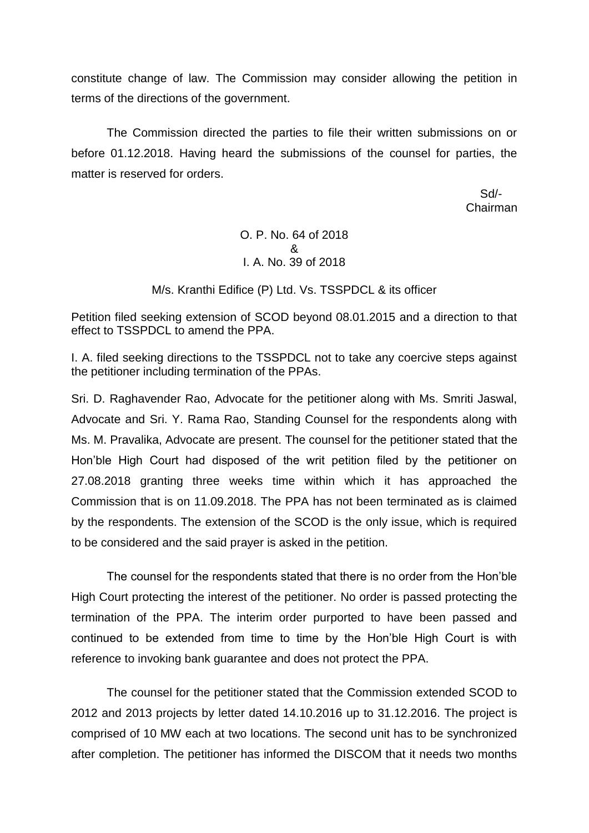constitute change of law. The Commission may consider allowing the petition in terms of the directions of the government.

The Commission directed the parties to file their written submissions on or before 01.12.2018. Having heard the submissions of the counsel for parties, the matter is reserved for orders.

> Sd/- Chairman

# O. P. No. 64 of 2018 & I. A. No. 39 of 2018

M/s. Kranthi Edifice (P) Ltd. Vs. TSSPDCL & its officer

Petition filed seeking extension of SCOD beyond 08.01.2015 and a direction to that effect to TSSPDCL to amend the PPA.

I. A. filed seeking directions to the TSSPDCL not to take any coercive steps against the petitioner including termination of the PPAs.

Sri. D. Raghavender Rao, Advocate for the petitioner along with Ms. Smriti Jaswal, Advocate and Sri. Y. Rama Rao, Standing Counsel for the respondents along with Ms. M. Pravalika, Advocate are present. The counsel for the petitioner stated that the Hon'ble High Court had disposed of the writ petition filed by the petitioner on 27.08.2018 granting three weeks time within which it has approached the Commission that is on 11.09.2018. The PPA has not been terminated as is claimed by the respondents. The extension of the SCOD is the only issue, which is required to be considered and the said prayer is asked in the petition.

The counsel for the respondents stated that there is no order from the Hon'ble High Court protecting the interest of the petitioner. No order is passed protecting the termination of the PPA. The interim order purported to have been passed and continued to be extended from time to time by the Hon'ble High Court is with reference to invoking bank guarantee and does not protect the PPA.

The counsel for the petitioner stated that the Commission extended SCOD to 2012 and 2013 projects by letter dated 14.10.2016 up to 31.12.2016. The project is comprised of 10 MW each at two locations. The second unit has to be synchronized after completion. The petitioner has informed the DISCOM that it needs two months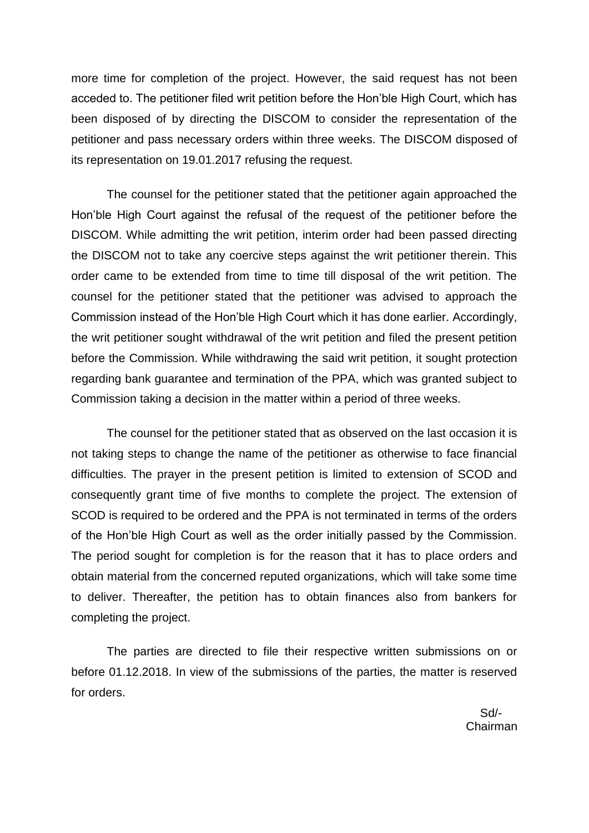more time for completion of the project. However, the said request has not been acceded to. The petitioner filed writ petition before the Hon'ble High Court, which has been disposed of by directing the DISCOM to consider the representation of the petitioner and pass necessary orders within three weeks. The DISCOM disposed of its representation on 19.01.2017 refusing the request.

The counsel for the petitioner stated that the petitioner again approached the Hon'ble High Court against the refusal of the request of the petitioner before the DISCOM. While admitting the writ petition, interim order had been passed directing the DISCOM not to take any coercive steps against the writ petitioner therein. This order came to be extended from time to time till disposal of the writ petition. The counsel for the petitioner stated that the petitioner was advised to approach the Commission instead of the Hon'ble High Court which it has done earlier. Accordingly, the writ petitioner sought withdrawal of the writ petition and filed the present petition before the Commission. While withdrawing the said writ petition, it sought protection regarding bank guarantee and termination of the PPA, which was granted subject to Commission taking a decision in the matter within a period of three weeks.

The counsel for the petitioner stated that as observed on the last occasion it is not taking steps to change the name of the petitioner as otherwise to face financial difficulties. The prayer in the present petition is limited to extension of SCOD and consequently grant time of five months to complete the project. The extension of SCOD is required to be ordered and the PPA is not terminated in terms of the orders of the Hon'ble High Court as well as the order initially passed by the Commission. The period sought for completion is for the reason that it has to place orders and obtain material from the concerned reputed organizations, which will take some time to deliver. Thereafter, the petition has to obtain finances also from bankers for completing the project.

The parties are directed to file their respective written submissions on or before 01.12.2018. In view of the submissions of the parties, the matter is reserved for orders.

 Sd/- Chairman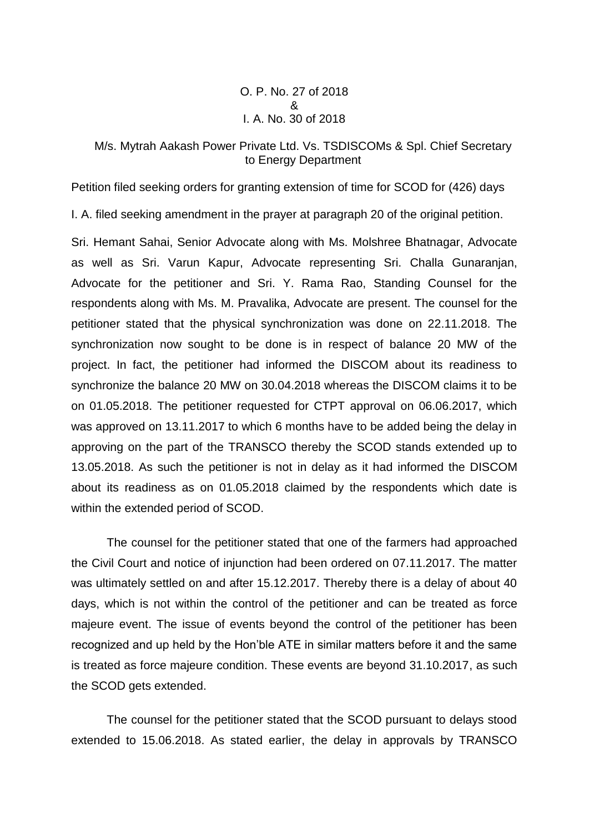O. P. No. 27 of 2018 & I. A. No. 30 of 2018

## M/s. Mytrah Aakash Power Private Ltd. Vs. TSDISCOMs & Spl. Chief Secretary to Energy Department

Petition filed seeking orders for granting extension of time for SCOD for (426) days

I. A. filed seeking amendment in the prayer at paragraph 20 of the original petition.

Sri. Hemant Sahai, Senior Advocate along with Ms. Molshree Bhatnagar, Advocate as well as Sri. Varun Kapur, Advocate representing Sri. Challa Gunaranjan, Advocate for the petitioner and Sri. Y. Rama Rao, Standing Counsel for the respondents along with Ms. M. Pravalika, Advocate are present. The counsel for the petitioner stated that the physical synchronization was done on 22.11.2018. The synchronization now sought to be done is in respect of balance 20 MW of the project. In fact, the petitioner had informed the DISCOM about its readiness to synchronize the balance 20 MW on 30.04.2018 whereas the DISCOM claims it to be on 01.05.2018. The petitioner requested for CTPT approval on 06.06.2017, which was approved on 13.11.2017 to which 6 months have to be added being the delay in approving on the part of the TRANSCO thereby the SCOD stands extended up to 13.05.2018. As such the petitioner is not in delay as it had informed the DISCOM about its readiness as on 01.05.2018 claimed by the respondents which date is within the extended period of SCOD.

The counsel for the petitioner stated that one of the farmers had approached the Civil Court and notice of injunction had been ordered on 07.11.2017. The matter was ultimately settled on and after 15.12.2017. Thereby there is a delay of about 40 days, which is not within the control of the petitioner and can be treated as force majeure event. The issue of events beyond the control of the petitioner has been recognized and up held by the Hon'ble ATE in similar matters before it and the same is treated as force majeure condition. These events are beyond 31.10.2017, as such the SCOD gets extended.

The counsel for the petitioner stated that the SCOD pursuant to delays stood extended to 15.06.2018. As stated earlier, the delay in approvals by TRANSCO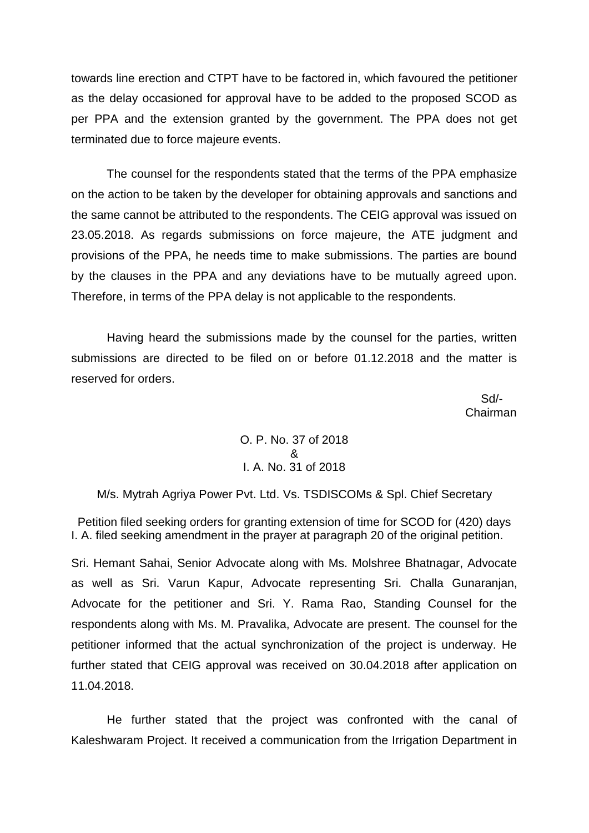towards line erection and CTPT have to be factored in, which favoured the petitioner as the delay occasioned for approval have to be added to the proposed SCOD as per PPA and the extension granted by the government. The PPA does not get terminated due to force majeure events.

The counsel for the respondents stated that the terms of the PPA emphasize on the action to be taken by the developer for obtaining approvals and sanctions and the same cannot be attributed to the respondents. The CEIG approval was issued on 23.05.2018. As regards submissions on force majeure, the ATE judgment and provisions of the PPA, he needs time to make submissions. The parties are bound by the clauses in the PPA and any deviations have to be mutually agreed upon. Therefore, in terms of the PPA delay is not applicable to the respondents.

Having heard the submissions made by the counsel for the parties, written submissions are directed to be filed on or before 01.12.2018 and the matter is reserved for orders.

 Sd/- Chairman

> O. P. No. 37 of 2018 & I. A. No. 31 of 2018

M/s. Mytrah Agriya Power Pvt. Ltd. Vs. TSDISCOMs & Spl. Chief Secretary

Petition filed seeking orders for granting extension of time for SCOD for (420) days I. A. filed seeking amendment in the prayer at paragraph 20 of the original petition.

Sri. Hemant Sahai, Senior Advocate along with Ms. Molshree Bhatnagar, Advocate as well as Sri. Varun Kapur, Advocate representing Sri. Challa Gunaranjan, Advocate for the petitioner and Sri. Y. Rama Rao, Standing Counsel for the respondents along with Ms. M. Pravalika, Advocate are present. The counsel for the petitioner informed that the actual synchronization of the project is underway. He further stated that CEIG approval was received on 30.04.2018 after application on 11.04.2018.

He further stated that the project was confronted with the canal of Kaleshwaram Project. It received a communication from the Irrigation Department in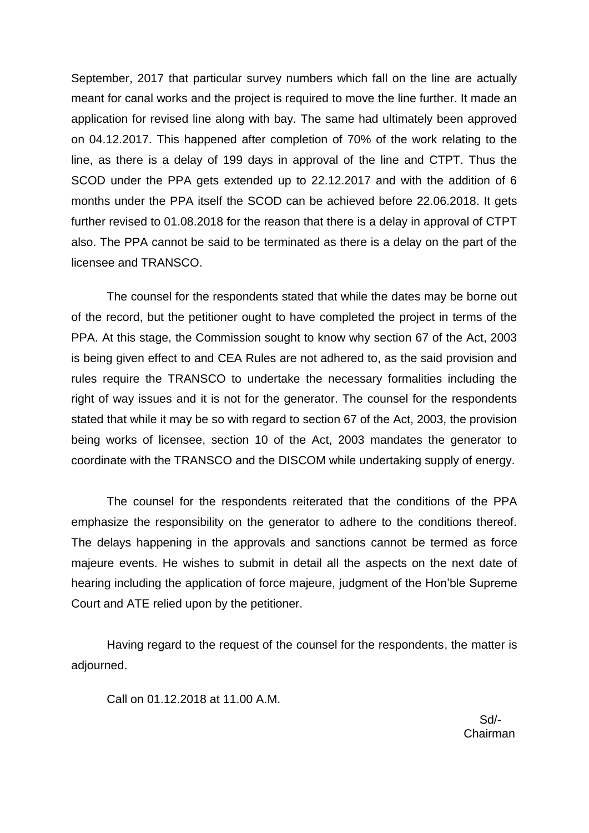September, 2017 that particular survey numbers which fall on the line are actually meant for canal works and the project is required to move the line further. It made an application for revised line along with bay. The same had ultimately been approved on 04.12.2017. This happened after completion of 70% of the work relating to the line, as there is a delay of 199 days in approval of the line and CTPT. Thus the SCOD under the PPA gets extended up to 22.12.2017 and with the addition of 6 months under the PPA itself the SCOD can be achieved before 22.06.2018. It gets further revised to 01.08.2018 for the reason that there is a delay in approval of CTPT also. The PPA cannot be said to be terminated as there is a delay on the part of the licensee and TRANSCO.

The counsel for the respondents stated that while the dates may be borne out of the record, but the petitioner ought to have completed the project in terms of the PPA. At this stage, the Commission sought to know why section 67 of the Act, 2003 is being given effect to and CEA Rules are not adhered to, as the said provision and rules require the TRANSCO to undertake the necessary formalities including the right of way issues and it is not for the generator. The counsel for the respondents stated that while it may be so with regard to section 67 of the Act, 2003, the provision being works of licensee, section 10 of the Act, 2003 mandates the generator to coordinate with the TRANSCO and the DISCOM while undertaking supply of energy.

The counsel for the respondents reiterated that the conditions of the PPA emphasize the responsibility on the generator to adhere to the conditions thereof. The delays happening in the approvals and sanctions cannot be termed as force majeure events. He wishes to submit in detail all the aspects on the next date of hearing including the application of force majeure, judgment of the Hon'ble Supreme Court and ATE relied upon by the petitioner.

Having regard to the request of the counsel for the respondents, the matter is adjourned.

Call on 01.12.2018 at 11.00 A.M.

 $S$ d/- $S$ d/- $S$ d/- $S$ d/- $S$ d/- $S$ d/- $S$ d/- $S$ d/- $S$ d/- $S$ d/- $S$ d/- $S$ d/- $S$ d/- $S$ d/- $S$ d/- $S$ d/- $S$ d/- $S$ d/- $S$ d/- $S$ d/- $S$ d/- $S$ d/- $S$ d/- $S$ d/- $S$ d/- $S$ d/- $S$ d/- $S$ d/- $S$ d/- $S$ d/- $S$ d/- $S$ d/- $S$ d/- $S$ d/- $S$ d/- $S$ d/- $S$ d/ Chairman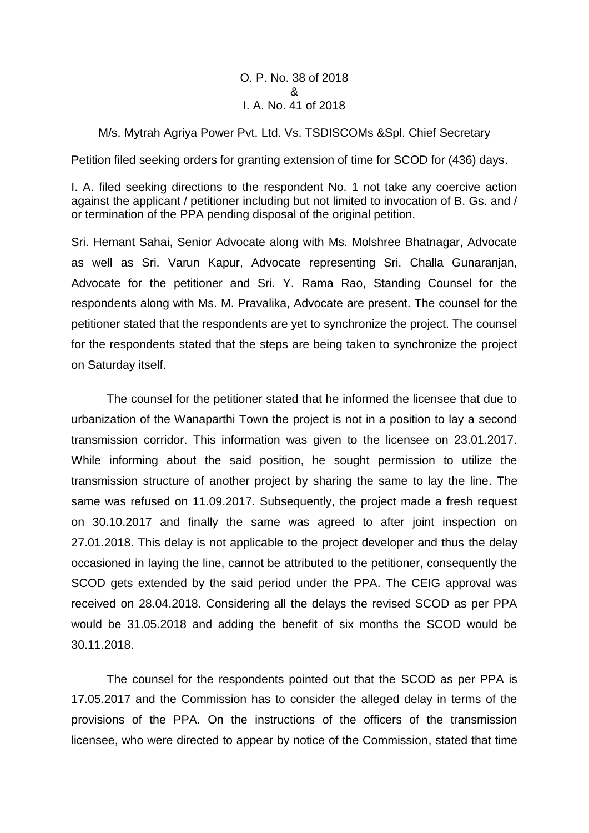## O. P. No. 38 of 2018 & I. A. No. 41 of 2018

## M/s. Mytrah Agriya Power Pvt. Ltd. Vs. TSDISCOMs &Spl. Chief Secretary

Petition filed seeking orders for granting extension of time for SCOD for (436) days.

I. A. filed seeking directions to the respondent No. 1 not take any coercive action against the applicant / petitioner including but not limited to invocation of B. Gs. and / or termination of the PPA pending disposal of the original petition.

Sri. Hemant Sahai, Senior Advocate along with Ms. Molshree Bhatnagar, Advocate as well as Sri. Varun Kapur, Advocate representing Sri. Challa Gunaranjan, Advocate for the petitioner and Sri. Y. Rama Rao, Standing Counsel for the respondents along with Ms. M. Pravalika, Advocate are present. The counsel for the petitioner stated that the respondents are yet to synchronize the project. The counsel for the respondents stated that the steps are being taken to synchronize the project on Saturday itself.

The counsel for the petitioner stated that he informed the licensee that due to urbanization of the Wanaparthi Town the project is not in a position to lay a second transmission corridor. This information was given to the licensee on 23.01.2017. While informing about the said position, he sought permission to utilize the transmission structure of another project by sharing the same to lay the line. The same was refused on 11.09.2017. Subsequently, the project made a fresh request on 30.10.2017 and finally the same was agreed to after joint inspection on 27.01.2018. This delay is not applicable to the project developer and thus the delay occasioned in laying the line, cannot be attributed to the petitioner, consequently the SCOD gets extended by the said period under the PPA. The CEIG approval was received on 28.04.2018. Considering all the delays the revised SCOD as per PPA would be 31.05.2018 and adding the benefit of six months the SCOD would be 30.11.2018.

The counsel for the respondents pointed out that the SCOD as per PPA is 17.05.2017 and the Commission has to consider the alleged delay in terms of the provisions of the PPA. On the instructions of the officers of the transmission licensee, who were directed to appear by notice of the Commission, stated that time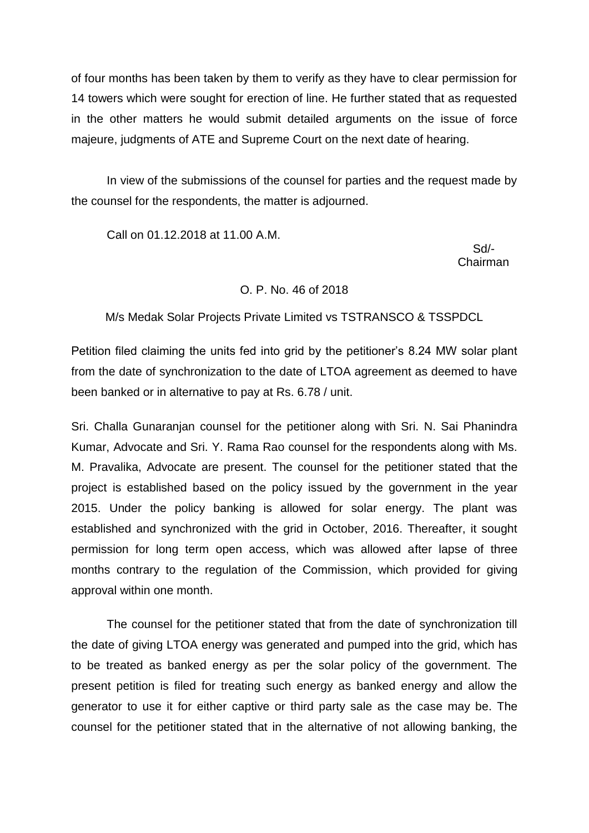of four months has been taken by them to verify as they have to clear permission for 14 towers which were sought for erection of line. He further stated that as requested in the other matters he would submit detailed arguments on the issue of force majeure, judgments of ATE and Supreme Court on the next date of hearing.

In view of the submissions of the counsel for parties and the request made by the counsel for the respondents, the matter is adjourned.

Call on 01.12.2018 at 11.00 A.M.

 Sd/- Chairman

## O. P. No. 46 of 2018

M/s Medak Solar Projects Private Limited vs TSTRANSCO & TSSPDCL

Petition filed claiming the units fed into grid by the petitioner's 8.24 MW solar plant from the date of synchronization to the date of LTOA agreement as deemed to have been banked or in alternative to pay at Rs. 6.78 / unit.

Sri. Challa Gunaranjan counsel for the petitioner along with Sri. N. Sai Phanindra Kumar, Advocate and Sri. Y. Rama Rao counsel for the respondents along with Ms. M. Pravalika, Advocate are present. The counsel for the petitioner stated that the project is established based on the policy issued by the government in the year 2015. Under the policy banking is allowed for solar energy. The plant was established and synchronized with the grid in October, 2016. Thereafter, it sought permission for long term open access, which was allowed after lapse of three months contrary to the regulation of the Commission, which provided for giving approval within one month.

The counsel for the petitioner stated that from the date of synchronization till the date of giving LTOA energy was generated and pumped into the grid, which has to be treated as banked energy as per the solar policy of the government. The present petition is filed for treating such energy as banked energy and allow the generator to use it for either captive or third party sale as the case may be. The counsel for the petitioner stated that in the alternative of not allowing banking, the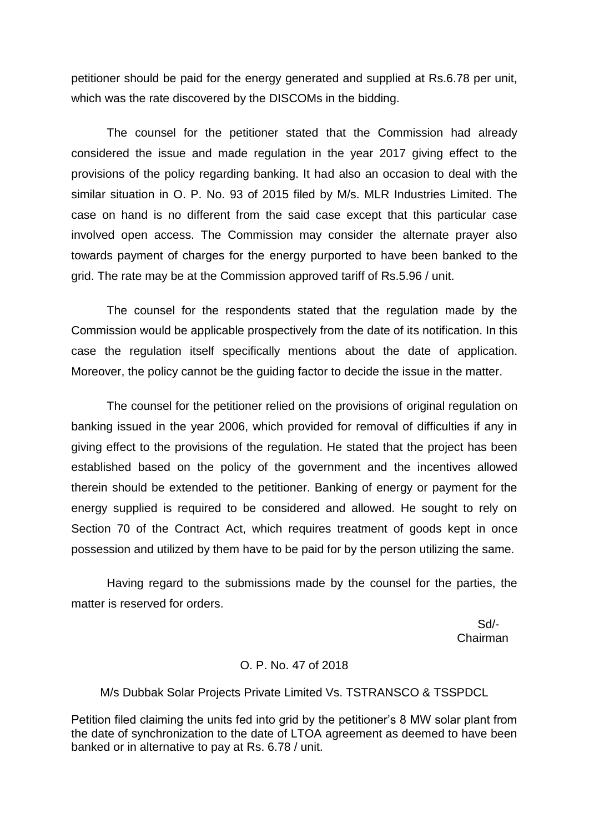petitioner should be paid for the energy generated and supplied at Rs.6.78 per unit, which was the rate discovered by the DISCOMs in the bidding.

The counsel for the petitioner stated that the Commission had already considered the issue and made regulation in the year 2017 giving effect to the provisions of the policy regarding banking. It had also an occasion to deal with the similar situation in O. P. No. 93 of 2015 filed by M/s. MLR Industries Limited. The case on hand is no different from the said case except that this particular case involved open access. The Commission may consider the alternate prayer also towards payment of charges for the energy purported to have been banked to the grid. The rate may be at the Commission approved tariff of Rs.5.96 / unit.

The counsel for the respondents stated that the regulation made by the Commission would be applicable prospectively from the date of its notification. In this case the regulation itself specifically mentions about the date of application. Moreover, the policy cannot be the guiding factor to decide the issue in the matter.

The counsel for the petitioner relied on the provisions of original regulation on banking issued in the year 2006, which provided for removal of difficulties if any in giving effect to the provisions of the regulation. He stated that the project has been established based on the policy of the government and the incentives allowed therein should be extended to the petitioner. Banking of energy or payment for the energy supplied is required to be considered and allowed. He sought to rely on Section 70 of the Contract Act, which requires treatment of goods kept in once possession and utilized by them have to be paid for by the person utilizing the same.

Having regard to the submissions made by the counsel for the parties, the matter is reserved for orders.

> Sd/- Chairman

#### O. P. No. 47 of 2018

M/s Dubbak Solar Projects Private Limited Vs. TSTRANSCO & TSSPDCL

Petition filed claiming the units fed into grid by the petitioner's 8 MW solar plant from the date of synchronization to the date of LTOA agreement as deemed to have been banked or in alternative to pay at Rs. 6.78 / unit.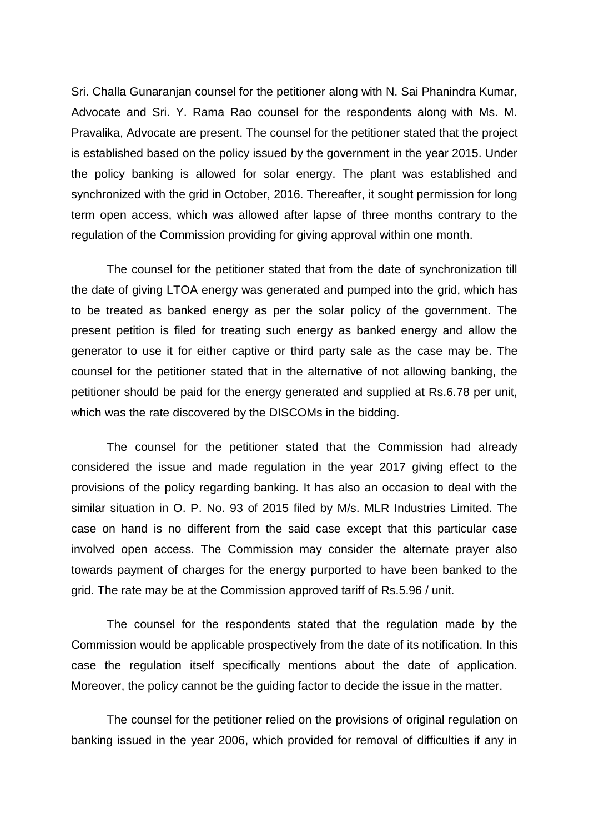Sri. Challa Gunaranjan counsel for the petitioner along with N. Sai Phanindra Kumar, Advocate and Sri. Y. Rama Rao counsel for the respondents along with Ms. M. Pravalika, Advocate are present. The counsel for the petitioner stated that the project is established based on the policy issued by the government in the year 2015. Under the policy banking is allowed for solar energy. The plant was established and synchronized with the grid in October, 2016. Thereafter, it sought permission for long term open access, which was allowed after lapse of three months contrary to the regulation of the Commission providing for giving approval within one month.

The counsel for the petitioner stated that from the date of synchronization till the date of giving LTOA energy was generated and pumped into the grid, which has to be treated as banked energy as per the solar policy of the government. The present petition is filed for treating such energy as banked energy and allow the generator to use it for either captive or third party sale as the case may be. The counsel for the petitioner stated that in the alternative of not allowing banking, the petitioner should be paid for the energy generated and supplied at Rs.6.78 per unit, which was the rate discovered by the DISCOMs in the bidding.

The counsel for the petitioner stated that the Commission had already considered the issue and made regulation in the year 2017 giving effect to the provisions of the policy regarding banking. It has also an occasion to deal with the similar situation in O. P. No. 93 of 2015 filed by M/s. MLR Industries Limited. The case on hand is no different from the said case except that this particular case involved open access. The Commission may consider the alternate prayer also towards payment of charges for the energy purported to have been banked to the grid. The rate may be at the Commission approved tariff of Rs.5.96 / unit.

The counsel for the respondents stated that the regulation made by the Commission would be applicable prospectively from the date of its notification. In this case the regulation itself specifically mentions about the date of application. Moreover, the policy cannot be the guiding factor to decide the issue in the matter.

The counsel for the petitioner relied on the provisions of original regulation on banking issued in the year 2006, which provided for removal of difficulties if any in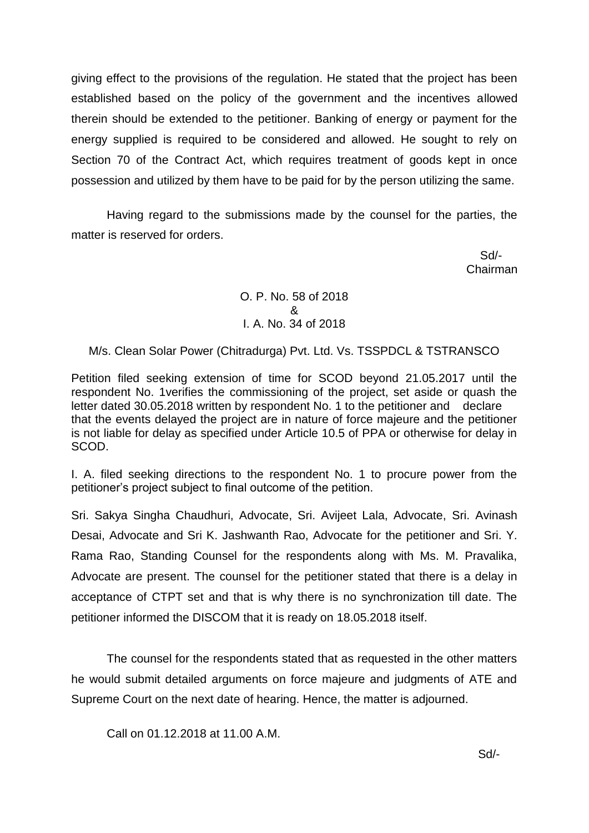giving effect to the provisions of the regulation. He stated that the project has been established based on the policy of the government and the incentives allowed therein should be extended to the petitioner. Banking of energy or payment for the energy supplied is required to be considered and allowed. He sought to rely on Section 70 of the Contract Act, which requires treatment of goods kept in once possession and utilized by them have to be paid for by the person utilizing the same.

Having regard to the submissions made by the counsel for the parties, the matter is reserved for orders.

 Sd/- Chairman

# O. P. No. 58 of 2018 & I. A. No. 34 of 2018

# M/s. Clean Solar Power (Chitradurga) Pvt. Ltd. Vs. TSSPDCL & TSTRANSCO

Petition filed seeking extension of time for SCOD beyond 21.05.2017 until the respondent No. 1verifies the commissioning of the project, set aside or quash the letter dated 30.05.2018 written by respondent No. 1 to the petitioner and declare that the events delayed the project are in nature of force majeure and the petitioner is not liable for delay as specified under Article 10.5 of PPA or otherwise for delay in SCOD.

I. A. filed seeking directions to the respondent No. 1 to procure power from the petitioner's project subject to final outcome of the petition.

Sri. Sakya Singha Chaudhuri, Advocate, Sri. Avijeet Lala, Advocate, Sri. Avinash Desai, Advocate and Sri K. Jashwanth Rao, Advocate for the petitioner and Sri. Y. Rama Rao, Standing Counsel for the respondents along with Ms. M. Pravalika, Advocate are present. The counsel for the petitioner stated that there is a delay in acceptance of CTPT set and that is why there is no synchronization till date. The petitioner informed the DISCOM that it is ready on 18.05.2018 itself.

The counsel for the respondents stated that as requested in the other matters he would submit detailed arguments on force majeure and judgments of ATE and Supreme Court on the next date of hearing. Hence, the matter is adjourned.

Call on 01.12.2018 at 11.00 A.M.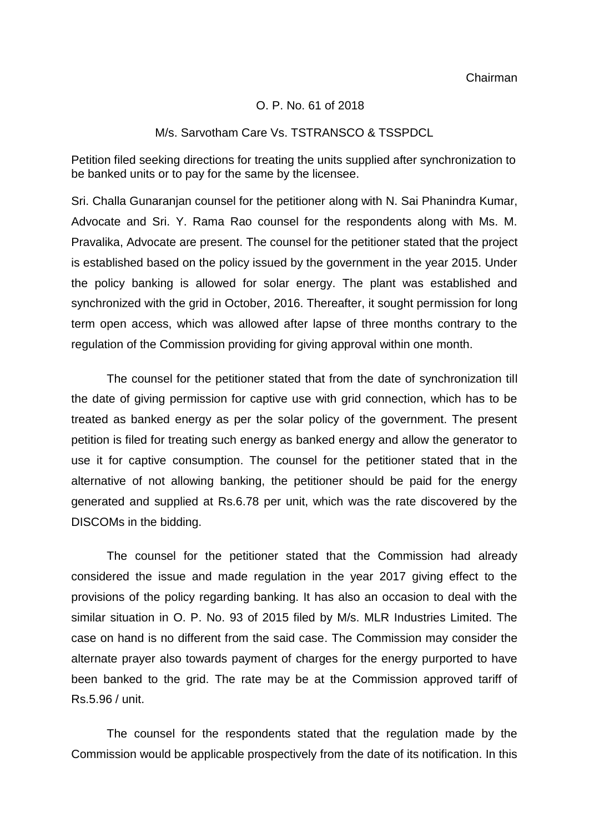Chairman

#### O. P. No. 61 of 2018

#### M/s. Sarvotham Care Vs. TSTRANSCO & TSSPDCL

Petition filed seeking directions for treating the units supplied after synchronization to be banked units or to pay for the same by the licensee.

Sri. Challa Gunaranjan counsel for the petitioner along with N. Sai Phanindra Kumar, Advocate and Sri. Y. Rama Rao counsel for the respondents along with Ms. M. Pravalika, Advocate are present. The counsel for the petitioner stated that the project is established based on the policy issued by the government in the year 2015. Under the policy banking is allowed for solar energy. The plant was established and synchronized with the grid in October, 2016. Thereafter, it sought permission for long term open access, which was allowed after lapse of three months contrary to the regulation of the Commission providing for giving approval within one month.

The counsel for the petitioner stated that from the date of synchronization till the date of giving permission for captive use with grid connection, which has to be treated as banked energy as per the solar policy of the government. The present petition is filed for treating such energy as banked energy and allow the generator to use it for captive consumption. The counsel for the petitioner stated that in the alternative of not allowing banking, the petitioner should be paid for the energy generated and supplied at Rs.6.78 per unit, which was the rate discovered by the DISCOMs in the bidding.

The counsel for the petitioner stated that the Commission had already considered the issue and made regulation in the year 2017 giving effect to the provisions of the policy regarding banking. It has also an occasion to deal with the similar situation in O. P. No. 93 of 2015 filed by M/s. MLR Industries Limited. The case on hand is no different from the said case. The Commission may consider the alternate prayer also towards payment of charges for the energy purported to have been banked to the grid. The rate may be at the Commission approved tariff of Rs.5.96 / unit.

The counsel for the respondents stated that the regulation made by the Commission would be applicable prospectively from the date of its notification. In this